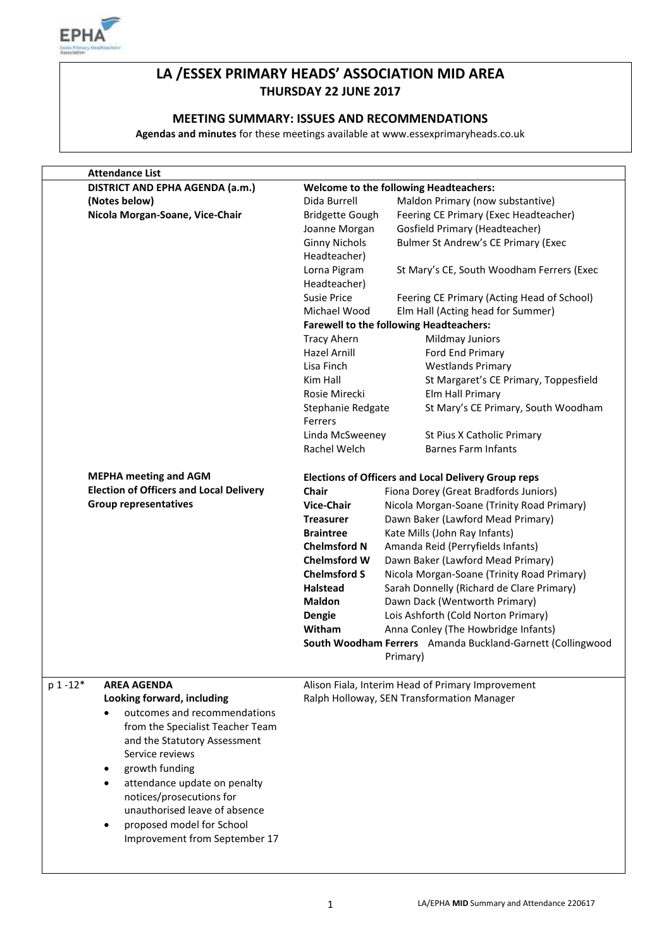

# **LA /ESSEX PRIMARY HEADS' ASSOCIATION MID AREA THURSDAY 22 JUNE 2017**

### **MEETING SUMMARY: ISSUES AND RECOMMENDATIONS**

**Agendas and minutes** for these meetings available at www.essexprimaryheads.co.uk

| <b>Attendance List</b>                         |                        |                                                            |
|------------------------------------------------|------------------------|------------------------------------------------------------|
| DISTRICT AND EPHA AGENDA (a.m.)                |                        | <b>Welcome to the following Headteachers:</b>              |
| (Notes below)                                  | Dida Burrell           | Maldon Primary (now substantive)                           |
| Nicola Morgan-Soane, Vice-Chair                | <b>Bridgette Gough</b> | Feering CE Primary (Exec Headteacher)                      |
|                                                | Joanne Morgan          | Gosfield Primary (Headteacher)                             |
|                                                | <b>Ginny Nichols</b>   | Bulmer St Andrew's CE Primary (Exec                        |
|                                                | Headteacher)           |                                                            |
|                                                | Lorna Pigram           | St Mary's CE, South Woodham Ferrers (Exec                  |
|                                                | Headteacher)           |                                                            |
|                                                | Susie Price            | Feering CE Primary (Acting Head of School)                 |
|                                                | Michael Wood           | Elm Hall (Acting head for Summer)                          |
|                                                |                        | <b>Farewell to the following Headteachers:</b>             |
|                                                | <b>Tracy Ahern</b>     | Mildmay Juniors                                            |
|                                                | Hazel Arnill           | Ford End Primary                                           |
|                                                | Lisa Finch             | <b>Westlands Primary</b>                                   |
|                                                | Kim Hall               | St Margaret's CE Primary, Toppesfield                      |
|                                                | Rosie Mirecki          | Elm Hall Primary                                           |
|                                                | Stephanie Redgate      | St Mary's CE Primary, South Woodham                        |
|                                                | Ferrers                |                                                            |
|                                                | Linda McSweeney        | St Pius X Catholic Primary                                 |
|                                                | Rachel Welch           | <b>Barnes Farm Infants</b>                                 |
|                                                |                        |                                                            |
| <b>MEPHA meeting and AGM</b>                   |                        | <b>Elections of Officers and Local Delivery Group reps</b> |
| <b>Election of Officers and Local Delivery</b> | <b>Chair</b>           | Fiona Dorey (Great Bradfords Juniors)                      |
| <b>Group representatives</b>                   | <b>Vice-Chair</b>      | Nicola Morgan-Soane (Trinity Road Primary)                 |
|                                                | <b>Treasurer</b>       | Dawn Baker (Lawford Mead Primary)                          |
|                                                | <b>Braintree</b>       | Kate Mills (John Ray Infants)                              |
|                                                | <b>Chelmsford N</b>    | Amanda Reid (Perryfields Infants)                          |
|                                                | <b>Chelmsford W</b>    | Dawn Baker (Lawford Mead Primary)                          |
|                                                | <b>Chelmsford S</b>    | Nicola Morgan-Soane (Trinity Road Primary)                 |
|                                                | <b>Halstead</b>        | Sarah Donnelly (Richard de Clare Primary)                  |
|                                                | <b>Maldon</b>          | Dawn Dack (Wentworth Primary)                              |
|                                                | Dengie                 | Lois Ashforth (Cold Norton Primary)                        |
|                                                | Witham                 | Anna Conley (The Howbridge Infants)                        |
|                                                |                        | South Woodham Ferrers Amanda Buckland-Garnett (Collingwood |
|                                                |                        | Primary)                                                   |
| $p 1 - 12*$<br><b>AREA AGENDA</b>              |                        | Alison Fiala, Interim Head of Primary Improvement          |
| Looking forward, including                     |                        | Ralph Holloway, SEN Transformation Manager                 |
| outcomes and recommendations                   |                        |                                                            |
| from the Specialist Teacher Team               |                        |                                                            |
| and the Statutory Assessment                   |                        |                                                            |
| Service reviews                                |                        |                                                            |
| growth funding<br>٠                            |                        |                                                            |
| attendance update on penalty                   |                        |                                                            |
| notices/prosecutions for                       |                        |                                                            |
| unauthorised leave of absence                  |                        |                                                            |
| proposed model for School                      |                        |                                                            |
| Improvement from September 17                  |                        |                                                            |
|                                                |                        |                                                            |
|                                                |                        |                                                            |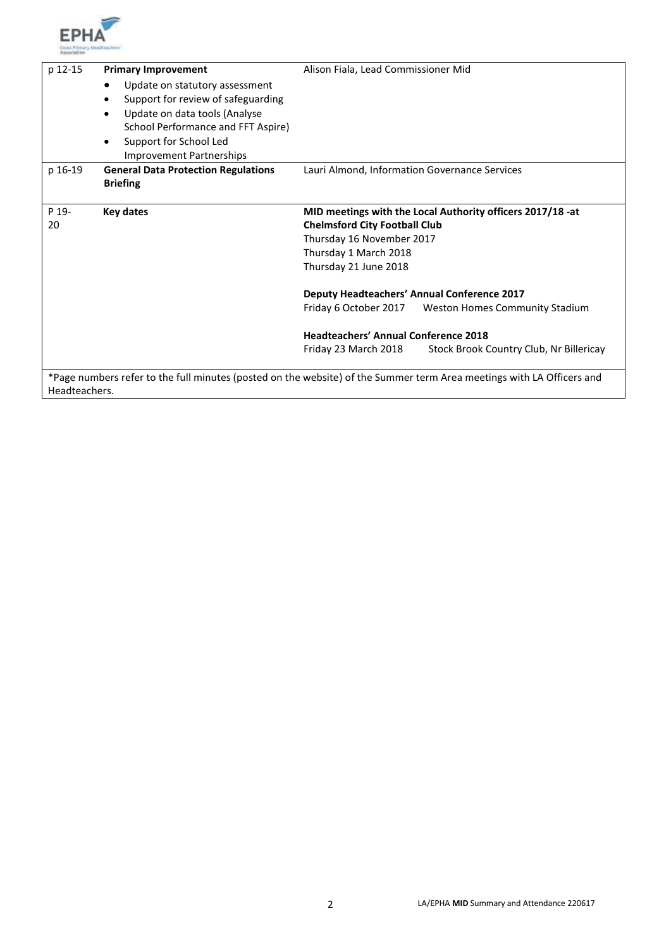

| p 12-15       | <b>Primary Improvement</b>                                                       | Alison Fiala, Lead Commissioner Mid                                                                                   |
|---------------|----------------------------------------------------------------------------------|-----------------------------------------------------------------------------------------------------------------------|
|               | Update on statutory assessment<br>٠                                              |                                                                                                                       |
|               | Support for review of safeguarding<br>٠                                          |                                                                                                                       |
|               | Update on data tools (Analyse<br>$\bullet$<br>School Performance and FFT Aspire) |                                                                                                                       |
|               | Support for School Led<br>$\bullet$                                              |                                                                                                                       |
|               | <b>Improvement Partnerships</b>                                                  |                                                                                                                       |
| p 16-19       | <b>General Data Protection Regulations</b>                                       | Lauri Almond, Information Governance Services                                                                         |
|               | <b>Briefing</b>                                                                  |                                                                                                                       |
| P 19-         | Key dates                                                                        | MID meetings with the Local Authority officers 2017/18 -at                                                            |
| 20            |                                                                                  | <b>Chelmsford City Football Club</b>                                                                                  |
|               |                                                                                  | Thursday 16 November 2017                                                                                             |
|               |                                                                                  | Thursday 1 March 2018                                                                                                 |
|               |                                                                                  | Thursday 21 June 2018                                                                                                 |
|               |                                                                                  | <b>Deputy Headteachers' Annual Conference 2017</b>                                                                    |
|               |                                                                                  | Friday 6 October 2017<br>Weston Homes Community Stadium                                                               |
|               |                                                                                  | <b>Headteachers' Annual Conference 2018</b>                                                                           |
|               |                                                                                  | Stock Brook Country Club, Nr Billericay<br>Friday 23 March 2018                                                       |
|               |                                                                                  | *Page numbers refer to the full minutes (posted on the website) of the Summer term Area meetings with LA Officers and |
| Headteachers. |                                                                                  |                                                                                                                       |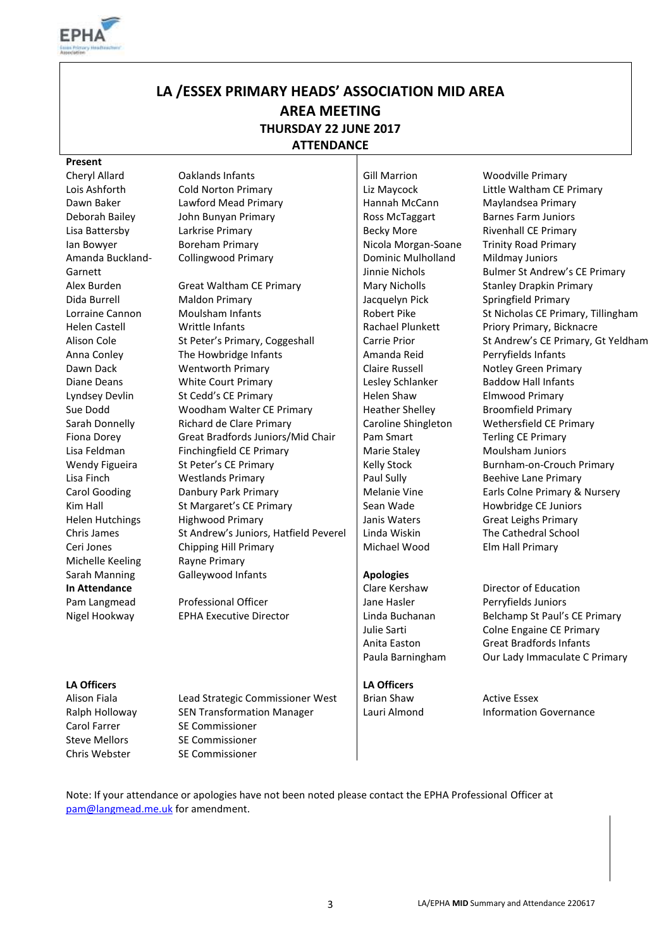

# **LA /ESSEX PRIMARY HEADS' ASSOCIATION MID AREA AREA MEETING THURSDAY 22 JUNE 2017 ATTENDANCE**

#### **Present**

Amanda Buckland-Garnett Michelle Keeling Rayne Primary Pam Langmead Nigel Hookway

Cheryl Allard Caklands Infants Gill Marrion Gill Marrion Cheryl Allard Woodville Primary Dawn Baker Lawford Mead Primary Hannah McCann Maylandsea Primary Deborah Bailey John Bunyan Primary Ross McTaggart Barnes Farm Juniors Lisa Battersby Carkrise Primary Communication Becky More Rivenhall CE Primary Ian Bowyer **Boreham Primary Communist Access** Nicola Morgan-Soane Trinity Road Primary

Alex Burden Great Waltham CE Primary Mary Nicholls Stanley Drapkin Primary Dida Burrell Maldon Primary Jacquelyn Pick Springfield Primary Lorraine Cannon Moulsham Infants Note that Robert Pike St Nicholas CE Primary, Tillingham Helen Castell Writtle Infants Rachael Plunkett Priory Primary, Bicknacre Alison Cole St Peter's Primary, Coggeshall Carrie Prior St Andrew's CE Primary, Gt Yeldham Anna Conley The Howbridge Infants Amanda Reid Perryfields Infants Dawn Dack Wentworth Primary Claire Russell Notley Green Primary Diane Deans White Court Primary Lesley Schlanker Baddow Hall Infants Lyndsey Devlin St Cedd's CE Primary Fund Helen Shaw Elmwood Primary Sue Dodd Woodham Walter CE Primary Heather Shelley Broomfield Primary Sarah Donnelly Richard de Clare Primary Caroline Shingleton Wethersfield CE Primary Fiona Dorey Great Bradfords Juniors/Mid Chair | Pam Smart Terling CE Primary Lisa Feldman Finchingfield CE Primary Funding Marie Staley Moulsham Juniors Wendy Figueira St Peter's CE Primary Kelly Stock Burnham-on-Crouch Primary Lisa Finch **Example 2** Westlands Primary **Paul Sully Beehive Lane Primary** Paul Sully Beehive Lane Primary Carol Gooding **Danbury Park Primary Carol America** Melanie Vine Earls Colne Primary & Nursery Kim Hall St Margaret's CE Primary Sean Wade Howbridge CE Juniors Helen Hutchings Highwood Primary Janis Waters Great Leighs Primary Chris James St Andrew's Juniors, Hatfield Peverel Linda Wiskin The Cathedral School Ceri Jones Chipping Hill Primary Nichael Wood Elm Hall Primary Sarah Manning **Galleywood Infants Apologies** 

> Professional Officer EPHA Executive Director

Collingwood Primary **Dominic Mulholland** Jinnie Nichols

Jane Hasler Linda Buchanan

#### **LA Officers LA Officers**

Lois Ashforth Cold Norton Primary Liz Maycock Little Waltham CE Primary Mildmay Juniors Bulmer St Andrew's CE Primary

#### **In Attendance In Attendance In Attendance Clare Kershaw** Director of Education Perryfields Juniors Belchamp St Paul's CE Primary Julie Sarti **Colne Engaine CE Primary** Anita Easton Great Bradfords Infants Paula Barningham Our Lady Immaculate C Primary

Alison Fiala **Lead Strategic Commissioner West** | Brian Shaw Active Essex Ralph Holloway SEN Transformation Manager Lauri Almond Information Governance Carol Farrer SE Commissioner Steve Mellors SE Commissioner Chris Webster SE Commissioner

Note: If your attendance or apologies have not been noted please contact the EPHA Professional Officer at [pam@langmead.me.uk](mailto:pam@langmead.me.uk) for amendment.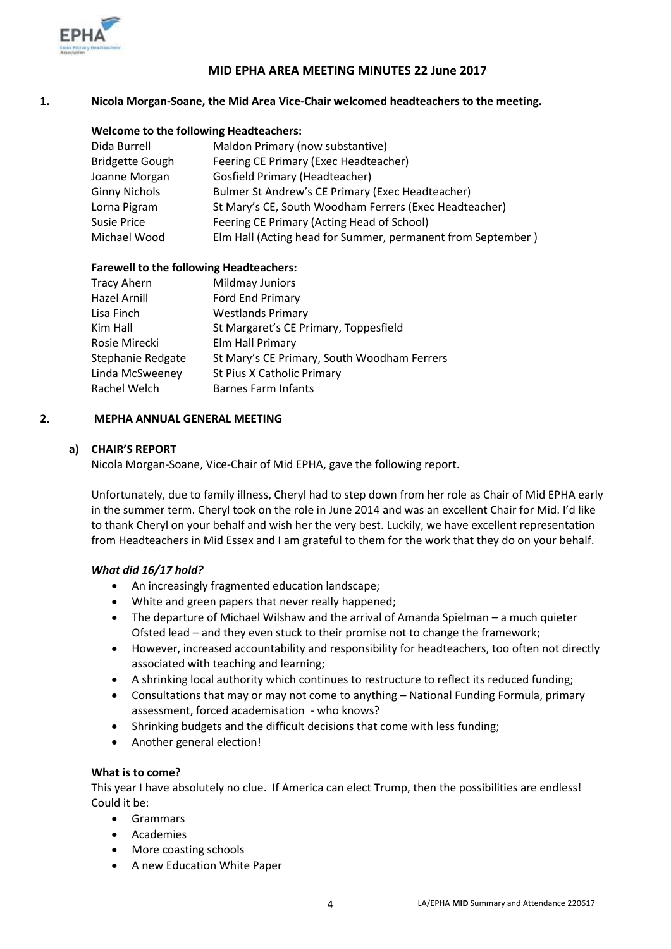

### **MID EPHA AREA MEETING MINUTES 22 June 2017**

### **1. Nicola Morgan-Soane, the Mid Area Vice-Chair welcomed headteachers to the meeting.**

#### **Welcome to the following Headteachers:**

| Dida Burrell           | Maldon Primary (now substantive)                            |
|------------------------|-------------------------------------------------------------|
| <b>Bridgette Gough</b> | Feering CE Primary (Exec Headteacher)                       |
| Joanne Morgan          | <b>Gosfield Primary (Headteacher)</b>                       |
| <b>Ginny Nichols</b>   | Bulmer St Andrew's CE Primary (Exec Headteacher)            |
| Lorna Pigram           | St Mary's CE, South Woodham Ferrers (Exec Headteacher)      |
| Susie Price            | Feering CE Primary (Acting Head of School)                  |
| Michael Wood           | Elm Hall (Acting head for Summer, permanent from September) |
|                        |                                                             |

#### **Farewell to the following Headteachers:**

| Mildmay Juniors                             |
|---------------------------------------------|
| Ford End Primary                            |
| <b>Westlands Primary</b>                    |
| St Margaret's CE Primary, Toppesfield       |
| Elm Hall Primary                            |
| St Mary's CE Primary, South Woodham Ferrers |
| St Pius X Catholic Primary                  |
| <b>Barnes Farm Infants</b>                  |
|                                             |

#### **2. MEPHA ANNUAL GENERAL MEETING**

### **a) CHAIR'S REPORT**

Nicola Morgan-Soane, Vice-Chair of Mid EPHA, gave the following report.

Unfortunately, due to family illness, Cheryl had to step down from her role as Chair of Mid EPHA early in the summer term. Cheryl took on the role in June 2014 and was an excellent Chair for Mid. I'd like to thank Cheryl on your behalf and wish her the very best. Luckily, we have excellent representation from Headteachers in Mid Essex and I am grateful to them for the work that they do on your behalf.

#### *What did 16/17 hold?*

- An increasingly fragmented education landscape;
- White and green papers that never really happened;
- The departure of Michael Wilshaw and the arrival of Amanda Spielman a much quieter Ofsted lead – and they even stuck to their promise not to change the framework;
- However, increased accountability and responsibility for headteachers, too often not directly associated with teaching and learning;
- A shrinking local authority which continues to restructure to reflect its reduced funding;
- Consultations that may or may not come to anything National Funding Formula, primary assessment, forced academisation - who knows?
- Shrinking budgets and the difficult decisions that come with less funding;
- Another general election!

### **What is to come?**

This year I have absolutely no clue. If America can elect Trump, then the possibilities are endless! Could it be:

- Grammars
- Academies
- More coasting schools
- A new Education White Paper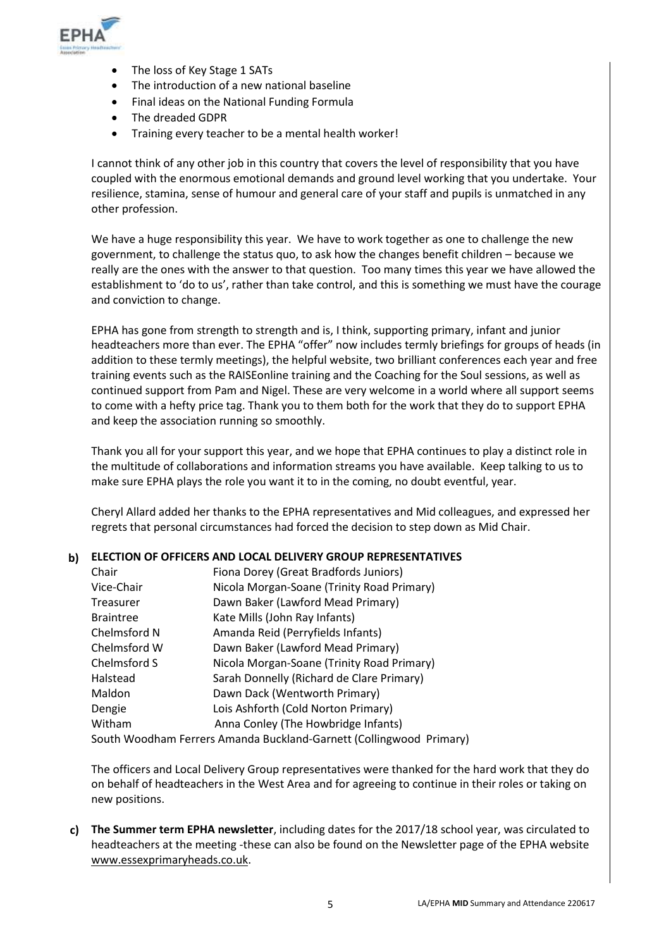

- The loss of Key Stage 1 SATs
- The introduction of a new national baseline
- Final ideas on the National Funding Formula
- The dreaded GDPR
- Training every teacher to be a mental health worker!

I cannot think of any other job in this country that covers the level of responsibility that you have coupled with the enormous emotional demands and ground level working that you undertake. Your resilience, stamina, sense of humour and general care of your staff and pupils is unmatched in any other profession.

We have a huge responsibility this year. We have to work together as one to challenge the new government, to challenge the status quo, to ask how the changes benefit children – because we really are the ones with the answer to that question. Too many times this year we have allowed the establishment to 'do to us', rather than take control, and this is something we must have the courage and conviction to change.

EPHA has gone from strength to strength and is, I think, supporting primary, infant and junior headteachers more than ever. The EPHA "offer" now includes termly briefings for groups of heads (in addition to these termly meetings), the helpful website, two brilliant conferences each year and free training events such as the RAISEonline training and the Coaching for the Soul sessions, as well as continued support from Pam and Nigel. These are very welcome in a world where all support seems to come with a hefty price tag. Thank you to them both for the work that they do to support EPHA and keep the association running so smoothly.

Thank you all for your support this year, and we hope that EPHA continues to play a distinct role in the multitude of collaborations and information streams you have available. Keep talking to us to make sure EPHA plays the role you want it to in the coming, no doubt eventful, year.

Cheryl Allard added her thanks to the EPHA representatives and Mid colleagues, and expressed her regrets that personal circumstances had forced the decision to step down as Mid Chair.

# **b) ELECTION OF OFFICERS AND LOCAL DELIVERY GROUP REPRESENTATIVES**

| Fiona Dorey (Great Bradfords Juniors)                               |
|---------------------------------------------------------------------|
| Nicola Morgan-Soane (Trinity Road Primary)                          |
| Dawn Baker (Lawford Mead Primary)                                   |
| Kate Mills (John Ray Infants)                                       |
| Amanda Reid (Perryfields Infants)                                   |
| Dawn Baker (Lawford Mead Primary)                                   |
| Nicola Morgan-Soane (Trinity Road Primary)                          |
| Sarah Donnelly (Richard de Clare Primary)                           |
| Dawn Dack (Wentworth Primary)                                       |
| Lois Ashforth (Cold Norton Primary)                                 |
| Anna Conley (The Howbridge Infants)                                 |
| South Woodham Ferrers Amanda Buckland-Garnett (Collingwood Primary) |
|                                                                     |

The officers and Local Delivery Group representatives were thanked for the hard work that they do on behalf of headteachers in the West Area and for agreeing to continue in their roles or taking on new positions.

**c) The Summer term EPHA newsletter**, including dates for the 2017/18 school year, was circulated to headteachers at the meeting -these can also be found on the Newsletter page of the EPHA website [www.essexprimaryheads.co.uk.](http://www.essexprimaryheads.co.uk/)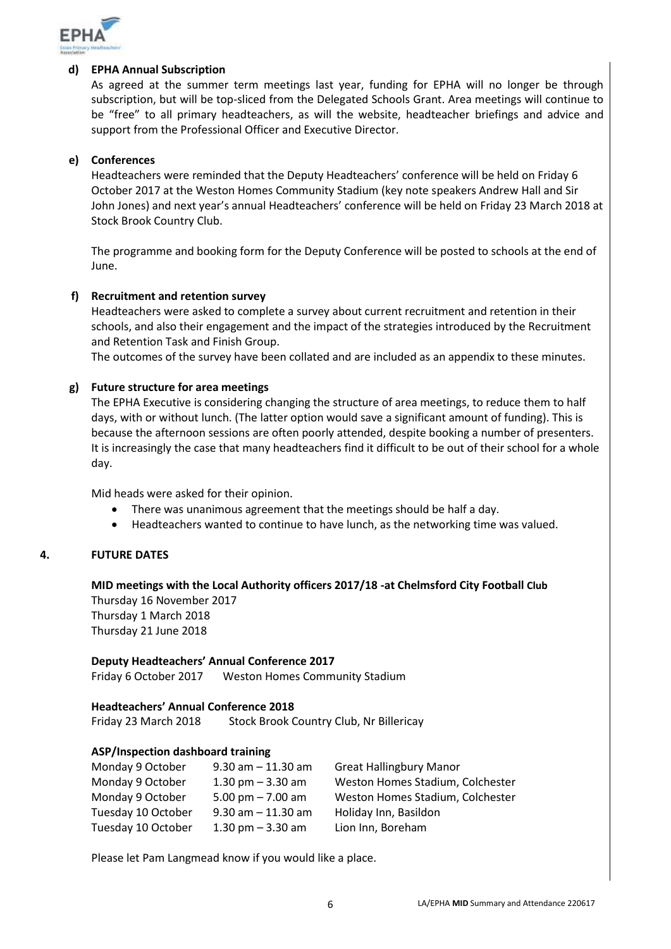

#### **d) EPHA Annual Subscription**

As agreed at the summer term meetings last year, funding for EPHA will no longer be through subscription, but will be top-sliced from the Delegated Schools Grant. Area meetings will continue to be "free" to all primary headteachers, as will the website, headteacher briefings and advice and support from the Professional Officer and Executive Director.

### **e) Conferences**

Headteachers were reminded that the Deputy Headteachers' conference will be held on Friday 6 October 2017 at the Weston Homes Community Stadium (key note speakers Andrew Hall and Sir John Jones) and next year's annual Headteachers' conference will be held on Friday 23 March 2018 at Stock Brook Country Club.

The programme and booking form for the Deputy Conference will be posted to schools at the end of June.

### **f) Recruitment and retention survey**

Headteachers were asked to complete a survey about current recruitment and retention in their schools, and also their engagement and the impact of the strategies introduced by the Recruitment and Retention Task and Finish Group.

The outcomes of the survey have been collated and are included as an appendix to these minutes.

### **g) Future structure for area meetings**

The EPHA Executive is considering changing the structure of area meetings, to reduce them to half days, with or without lunch. (The latter option would save a significant amount of funding). This is because the afternoon sessions are often poorly attended, despite booking a number of presenters. It is increasingly the case that many headteachers find it difficult to be out of their school for a whole day.

Mid heads were asked for their opinion.

- There was unanimous agreement that the meetings should be half a day.
- Headteachers wanted to continue to have lunch, as the networking time was valued.

#### **4. FUTURE DATES**

**MID meetings with the Local Authority officers 2017/18 -at Chelmsford City Football Club**  Thursday 16 November 2017 Thursday 1 March 2018 Thursday 21 June 2018

#### **Deputy Headteachers' Annual Conference 2017**

Friday 6 October 2017 Weston Homes Community Stadium

#### **Headteachers' Annual Conference 2018**

Friday 23 March 2018 Stock Brook Country Club, Nr Billericay

#### **ASP/Inspection dashboard training**

| Monday 9 October   | $9.30$ am $-11.30$ am | <b>Great Hallingbury Manor</b>   |
|--------------------|-----------------------|----------------------------------|
| Monday 9 October   | 1.30 pm $-$ 3.30 am   | Weston Homes Stadium, Colchester |
| Monday 9 October   | 5.00 pm $- 7.00$ am   | Weston Homes Stadium, Colchester |
| Tuesday 10 October | $9.30$ am $-11.30$ am | Holiday Inn, Basildon            |
| Tuesday 10 October | 1.30 pm $-$ 3.30 am   | Lion Inn, Boreham                |

Please let Pam Langmead know if you would like a place.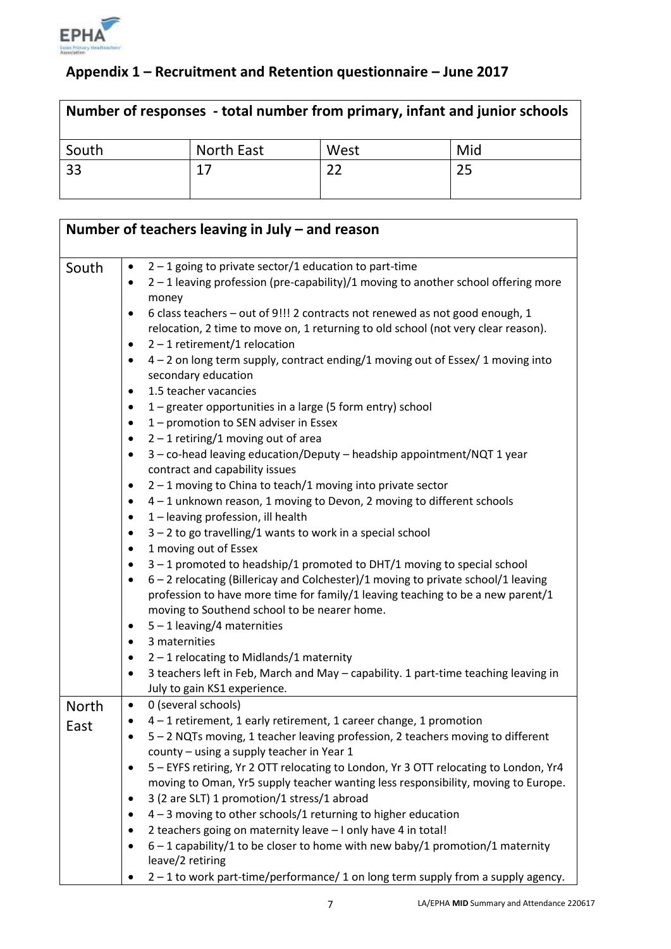

# **Appendix 1 – Recruitment and Retention questionnaire – June 2017**

| Number of responses - total number from primary, infant and junior schools |            |      |     |
|----------------------------------------------------------------------------|------------|------|-----|
| South                                                                      | North East | West | Mid |
| 33                                                                         | 17         |      | 25  |

|              | Number of teachers leaving in July $-$ and reason                                                                            |
|--------------|------------------------------------------------------------------------------------------------------------------------------|
| South        | $2 - 1$ going to private sector/1 education to part-time<br>$\bullet$                                                        |
|              | 2 - 1 leaving profession (pre-capability)/1 moving to another school offering more<br>money                                  |
|              | 6 class teachers - out of 9!!! 2 contracts not renewed as not good enough, 1<br>$\bullet$                                    |
|              | relocation, 2 time to move on, 1 returning to old school (not very clear reason).                                            |
|              | $2 - 1$ retirement/1 relocation<br>$\bullet$                                                                                 |
|              | 4 - 2 on long term supply, contract ending/1 moving out of Essex/ 1 moving into<br>$\bullet$<br>secondary education          |
|              | 1.5 teacher vacancies<br>٠                                                                                                   |
|              | 1 – greater opportunities in a large (5 form entry) school<br>$\bullet$                                                      |
|              | 1 – promotion to SEN adviser in Essex<br>٠                                                                                   |
|              | $2 - 1$ retiring/1 moving out of area<br>$\bullet$                                                                           |
|              | 3 - co-head leaving education/Deputy - headship appointment/NQT 1 year<br>٠<br>contract and capability issues                |
|              | $2 - 1$ moving to China to teach/1 moving into private sector<br>٠                                                           |
|              | 4 - 1 unknown reason, 1 moving to Devon, 2 moving to different schools<br>٠                                                  |
|              | 1 - leaving profession, ill health<br>٠                                                                                      |
|              | $3 - 2$ to go travelling/1 wants to work in a special school<br>٠                                                            |
|              | 1 moving out of Essex<br>$\bullet$                                                                                           |
|              | $3 - 1$ promoted to headship/1 promoted to DHT/1 moving to special school<br>٠                                               |
|              | 6 - 2 relocating (Billericay and Colchester)/1 moving to private school/1 leaving<br>$\bullet$                               |
|              | profession to have more time for family/1 leaving teaching to be a new parent/1                                              |
|              | moving to Southend school to be nearer home.                                                                                 |
|              | $5 - 1$ leaving/4 maternities<br>$\bullet$<br>3 maternities<br>٠                                                             |
|              | $2 - 1$ relocating to Midlands/1 maternity<br>$\bullet$                                                                      |
|              | 3 teachers left in Feb, March and May - capability. 1 part-time teaching leaving in<br>$\bullet$                             |
|              | July to gain KS1 experience.                                                                                                 |
| <b>North</b> | 0 (several schools)<br>$\bullet$                                                                                             |
| East         | 4 - 1 retirement, 1 early retirement, 1 career change, 1 promotion<br>٠                                                      |
|              | 5 - 2 NQTs moving, 1 teacher leaving profession, 2 teachers moving to different<br>county - using a supply teacher in Year 1 |
|              | 5 - EYFS retiring, Yr 2 OTT relocating to London, Yr 3 OTT relocating to London, Yr4<br>٠                                    |
|              | moving to Oman, Yr5 supply teacher wanting less responsibility, moving to Europe.                                            |
|              | 3 (2 are SLT) 1 promotion/1 stress/1 abroad<br>$\bullet$                                                                     |
|              | $4 - 3$ moving to other schools/1 returning to higher education<br>٠                                                         |
|              | 2 teachers going on maternity leave - I only have 4 in total!                                                                |
|              | $6 - 1$ capability/1 to be closer to home with new baby/1 promotion/1 maternity<br>leave/2 retiring                          |
|              | 2-1 to work part-time/performance/1 on long term supply from a supply agency.                                                |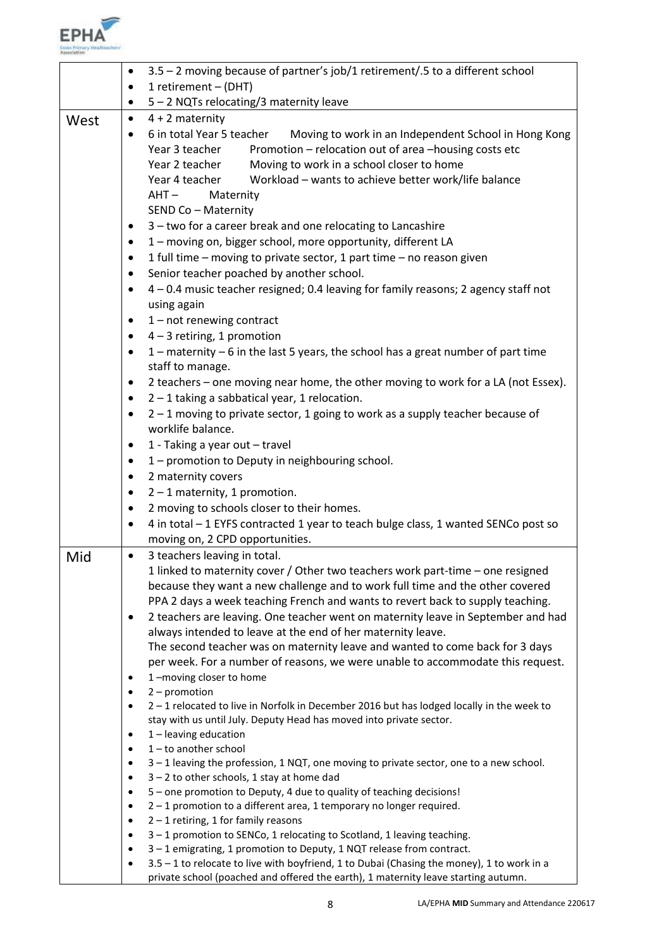

|      | 3.5 - 2 moving because of partner's job/1 retirement/.5 to a different school<br>٠ |                                                                                                                                                                                                                                                                                                                                                                                                      |  |  |
|------|------------------------------------------------------------------------------------|------------------------------------------------------------------------------------------------------------------------------------------------------------------------------------------------------------------------------------------------------------------------------------------------------------------------------------------------------------------------------------------------------|--|--|
|      | ٠                                                                                  | 1 retirement - (DHT)                                                                                                                                                                                                                                                                                                                                                                                 |  |  |
|      | ٠                                                                                  | 5 - 2 NQTs relocating/3 maternity leave                                                                                                                                                                                                                                                                                                                                                              |  |  |
| West | $\bullet$                                                                          | $4 + 2$ maternity                                                                                                                                                                                                                                                                                                                                                                                    |  |  |
|      | ٠                                                                                  | 6 in total Year 5 teacher<br>Moving to work in an Independent School in Hong Kong<br>Promotion - relocation out of area -housing costs etc<br>Year 3 teacher<br>Moving to work in a school closer to home<br>Year 2 teacher<br>Workload - wants to achieve better work/life balance<br>Year 4 teacher<br>$AHT -$<br>Maternity<br>SEND Co - Maternity                                                 |  |  |
|      | ٠                                                                                  | 3 - two for a career break and one relocating to Lancashire                                                                                                                                                                                                                                                                                                                                          |  |  |
|      | ٠                                                                                  | 1 - moving on, bigger school, more opportunity, different LA                                                                                                                                                                                                                                                                                                                                         |  |  |
|      | ٠                                                                                  | 1 full time - moving to private sector, 1 part time - no reason given                                                                                                                                                                                                                                                                                                                                |  |  |
|      | ٠                                                                                  | Senior teacher poached by another school.                                                                                                                                                                                                                                                                                                                                                            |  |  |
|      | ٠                                                                                  | 4 - 0.4 music teacher resigned; 0.4 leaving for family reasons; 2 agency staff not<br>using again                                                                                                                                                                                                                                                                                                    |  |  |
|      | ٠                                                                                  | $1$ – not renewing contract                                                                                                                                                                                                                                                                                                                                                                          |  |  |
|      | ٠                                                                                  | $4 - 3$ retiring, 1 promotion                                                                                                                                                                                                                                                                                                                                                                        |  |  |
|      | $\bullet$                                                                          | $1$ – maternity – 6 in the last 5 years, the school has a great number of part time<br>staff to manage.                                                                                                                                                                                                                                                                                              |  |  |
|      | $\bullet$                                                                          | 2 teachers - one moving near home, the other moving to work for a LA (not Essex).                                                                                                                                                                                                                                                                                                                    |  |  |
|      | ٠                                                                                  | $2 - 1$ taking a sabbatical year, 1 relocation.                                                                                                                                                                                                                                                                                                                                                      |  |  |
|      | $\bullet$                                                                          | $2 - 1$ moving to private sector, 1 going to work as a supply teacher because of<br>worklife balance.                                                                                                                                                                                                                                                                                                |  |  |
|      | ٠                                                                                  | 1 - Taking a year out - travel                                                                                                                                                                                                                                                                                                                                                                       |  |  |
|      | ٠                                                                                  | 1 - promotion to Deputy in neighbouring school.                                                                                                                                                                                                                                                                                                                                                      |  |  |
|      | $\bullet$                                                                          | 2 maternity covers                                                                                                                                                                                                                                                                                                                                                                                   |  |  |
|      | ٠                                                                                  | $2 - 1$ maternity, 1 promotion.                                                                                                                                                                                                                                                                                                                                                                      |  |  |
|      | ٠                                                                                  | 2 moving to schools closer to their homes.                                                                                                                                                                                                                                                                                                                                                           |  |  |
|      | ٠                                                                                  | 4 in total - 1 EYFS contracted 1 year to teach bulge class, 1 wanted SENCo post so                                                                                                                                                                                                                                                                                                                   |  |  |
|      |                                                                                    | moving on, 2 CPD opportunities.                                                                                                                                                                                                                                                                                                                                                                      |  |  |
| Mid  | $\bullet$                                                                          | 3 teachers leaving in total.                                                                                                                                                                                                                                                                                                                                                                         |  |  |
|      | $\bullet$                                                                          | 1 linked to maternity cover / Other two teachers work part-time – one resigned<br>because they want a new challenge and to work full time and the other covered<br>PPA 2 days a week teaching French and wants to revert back to supply teaching.<br>2 teachers are leaving. One teacher went on maternity leave in September and had<br>always intended to leave at the end of her maternity leave. |  |  |
|      | ٠                                                                                  | The second teacher was on maternity leave and wanted to come back for 3 days<br>per week. For a number of reasons, we were unable to accommodate this request.<br>1-moving closer to home                                                                                                                                                                                                            |  |  |
|      | ٠                                                                                  | $2$ – promotion                                                                                                                                                                                                                                                                                                                                                                                      |  |  |
|      | ٠                                                                                  | 2-1 relocated to live in Norfolk in December 2016 but has lodged locally in the week to                                                                                                                                                                                                                                                                                                              |  |  |
|      | ٠                                                                                  | stay with us until July. Deputy Head has moved into private sector.<br>1 - leaving education                                                                                                                                                                                                                                                                                                         |  |  |
|      | ٠                                                                                  | $1$ – to another school                                                                                                                                                                                                                                                                                                                                                                              |  |  |
|      | ٠                                                                                  | 3-1 leaving the profession, 1 NQT, one moving to private sector, one to a new school.                                                                                                                                                                                                                                                                                                                |  |  |
|      | $\bullet$                                                                          | $3 - 2$ to other schools, 1 stay at home dad                                                                                                                                                                                                                                                                                                                                                         |  |  |
|      | $\bullet$                                                                          | 5 - one promotion to Deputy, 4 due to quality of teaching decisions!                                                                                                                                                                                                                                                                                                                                 |  |  |
|      | $\bullet$                                                                          | $2 - 1$ promotion to a different area, 1 temporary no longer required.                                                                                                                                                                                                                                                                                                                               |  |  |
|      | $\bullet$                                                                          | $2 - 1$ retiring, 1 for family reasons                                                                                                                                                                                                                                                                                                                                                               |  |  |
|      | $\bullet$                                                                          | 3-1 promotion to SENCo, 1 relocating to Scotland, 1 leaving teaching.                                                                                                                                                                                                                                                                                                                                |  |  |
|      | ٠                                                                                  | 3-1 emigrating, 1 promotion to Deputy, 1 NQT release from contract.<br>3.5 - 1 to relocate to live with boyfriend, 1 to Dubai (Chasing the money), 1 to work in a                                                                                                                                                                                                                                    |  |  |
|      | $\bullet$                                                                          | private school (poached and offered the earth), 1 maternity leave starting autumn.                                                                                                                                                                                                                                                                                                                   |  |  |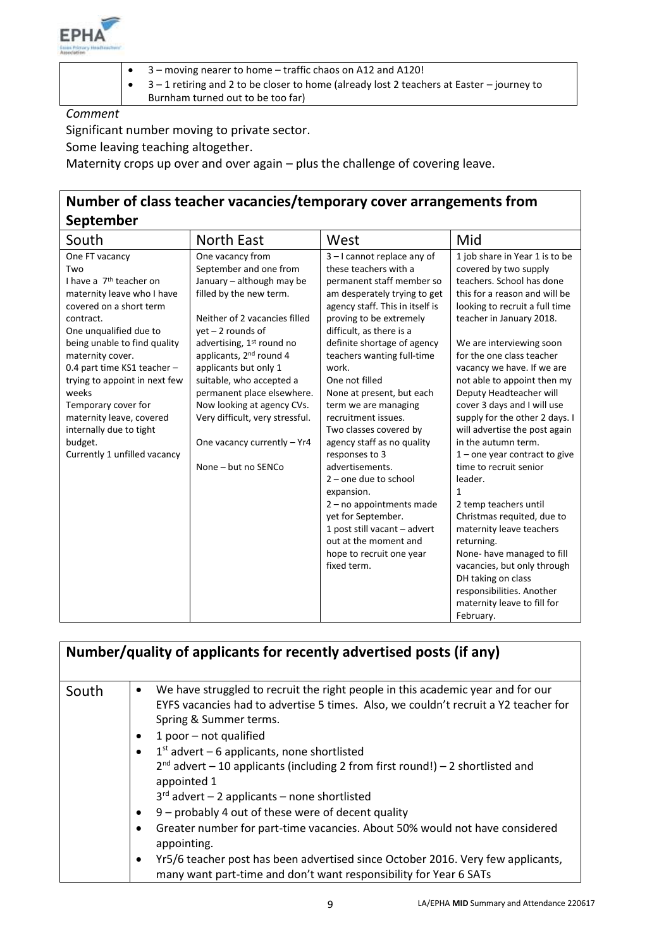

- 3 moving nearer to home traffic chaos on A12 and A120!
- 3 1 retiring and 2 to be closer to home (already lost 2 teachers at Easter journey to

Burnham turned out to be too far)

*Comment*

Significant number moving to private sector.

Some leaving teaching altogether.

Maternity crops up over and over again – plus the challenge of covering leave.

# **Number of class teacher vacancies/temporary cover arrangements from September**

| -p                                  |                                       |                                 |                                 |
|-------------------------------------|---------------------------------------|---------------------------------|---------------------------------|
| South                               | North East                            | West                            | Mid                             |
| One FT vacancy                      | One vacancy from                      | 3-I cannot replace any of       | 1 job share in Year 1 is to be  |
| Two                                 | September and one from                | these teachers with a           | covered by two supply           |
| I have a 7 <sup>th</sup> teacher on | January - although may be             | permanent staff member so       | teachers. School has done       |
| maternity leave who I have          | filled by the new term.               | am desperately trying to get    | this for a reason and will be   |
| covered on a short term             |                                       | agency staff. This in itself is | looking to recruit a full time  |
| contract.                           | Neither of 2 vacancies filled         | proving to be extremely         | teacher in January 2018.        |
| One unqualified due to              | $yet - 2 rounds of$                   | difficult, as there is a        |                                 |
| being unable to find quality        | advertising, 1 <sup>st</sup> round no | definite shortage of agency     | We are interviewing soon        |
| maternity cover.                    | applicants, 2 <sup>nd</sup> round 4   | teachers wanting full-time      | for the one class teacher       |
| 0.4 part time KS1 teacher -         | applicants but only 1                 | work.                           | vacancy we have. If we are      |
| trying to appoint in next few       | suitable, who accepted a              | One not filled                  | not able to appoint then my     |
| weeks                               | permanent place elsewhere.            | None at present, but each       | Deputy Headteacher will         |
| Temporary cover for                 | Now looking at agency CVs.            | term we are managing            | cover 3 days and I will use     |
| maternity leave, covered            | Very difficult, very stressful.       | recruitment issues.             | supply for the other 2 days. I  |
| internally due to tight             |                                       | Two classes covered by          | will advertise the post again   |
| budget.                             | One vacancy currently - Yr4           | agency staff as no quality      | in the autumn term.             |
| Currently 1 unfilled vacancy        |                                       | responses to 3                  | $1$ – one year contract to give |
|                                     | None - but no SENCo                   | advertisements.                 | time to recruit senior          |
|                                     |                                       | $2$ – one due to school         | leader.                         |
|                                     |                                       | expansion.                      | $\mathbf{1}$                    |
|                                     |                                       | $2 - no$ appointments made      | 2 temp teachers until           |
|                                     |                                       | yet for September.              | Christmas requited, due to      |
|                                     |                                       | 1 post still vacant - advert    | maternity leave teachers        |
|                                     |                                       | out at the moment and           | returning.                      |
|                                     |                                       | hope to recruit one year        | None-have managed to fill       |
|                                     |                                       | fixed term.                     | vacancies, but only through     |
|                                     |                                       |                                 | DH taking on class              |
|                                     |                                       |                                 | responsibilities. Another       |
|                                     |                                       |                                 | maternity leave to fill for     |
|                                     |                                       |                                 | February.                       |

| Number/quality of applicants for recently advertised posts (if any) |                                                                                                                                                                                                                                                                                                                                                                                                                                                                                                                                                                                                                                                                                                                                                                                                         |  |  |
|---------------------------------------------------------------------|---------------------------------------------------------------------------------------------------------------------------------------------------------------------------------------------------------------------------------------------------------------------------------------------------------------------------------------------------------------------------------------------------------------------------------------------------------------------------------------------------------------------------------------------------------------------------------------------------------------------------------------------------------------------------------------------------------------------------------------------------------------------------------------------------------|--|--|
| South                                                               | We have struggled to recruit the right people in this academic year and for our<br>٠<br>EYFS vacancies had to advertise 5 times. Also, we couldn't recruit a Y2 teacher for<br>Spring & Summer terms.<br>1 poor $-$ not qualified<br>٠<br>$1st$ advert – 6 applicants, none shortlisted<br>$\bullet$<br>$2^{nd}$ advert – 10 applicants (including 2 from first round!) – 2 shortlisted and<br>appointed 1<br>$3rd$ advert - 2 applicants - none shortlisted<br>9 - probably 4 out of these were of decent quality<br>$\bullet$<br>Greater number for part-time vacancies. About 50% would not have considered<br>٠<br>appointing.<br>Yr5/6 teacher post has been advertised since October 2016. Very few applicants,<br>$\bullet$<br>many want part-time and don't want responsibility for Year 6 SATs |  |  |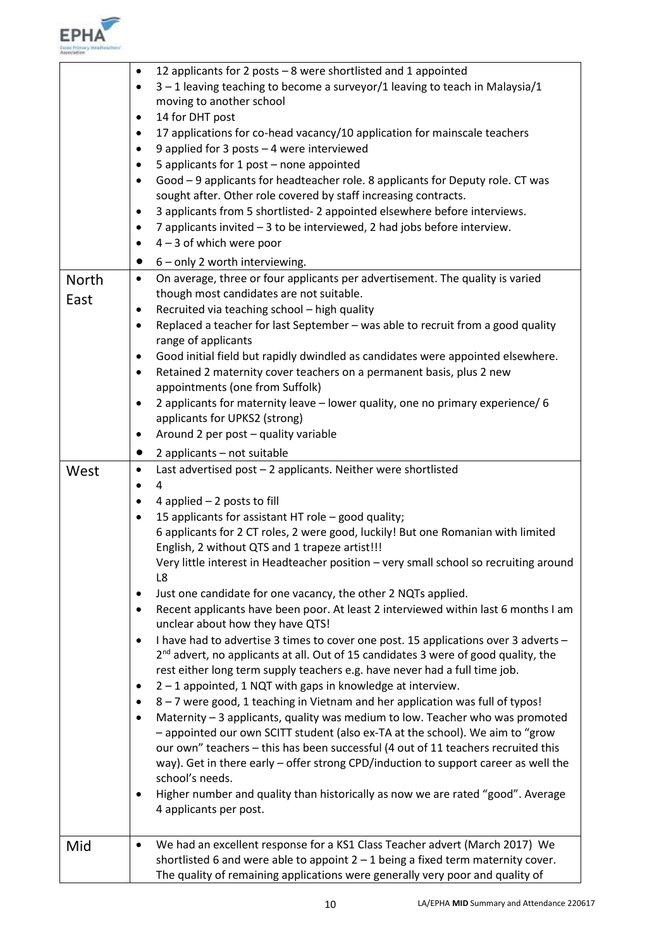

| <b>North</b><br>East | 12 applicants for 2 posts - 8 were shortlisted and 1 appointed<br>$\bullet$<br>3-1 leaving teaching to become a surveyor/1 leaving to teach in Malaysia/1<br>$\bullet$<br>moving to another school<br>14 for DHT post<br>٠<br>17 applications for co-head vacancy/10 application for mainscale teachers<br>٠<br>9 applied for 3 posts - 4 were interviewed<br>٠<br>5 applicants for 1 post - none appointed<br>٠<br>Good - 9 applicants for headteacher role. 8 applicants for Deputy role. CT was<br>٠<br>sought after. Other role covered by staff increasing contracts.<br>3 applicants from 5 shortlisted-2 appointed elsewhere before interviews.<br>٠<br>7 applicants invited - 3 to be interviewed, 2 had jobs before interview.<br>٠<br>$4 - 3$ of which were poor<br>6 - only 2 worth interviewing.<br>$\bullet$<br>On average, three or four applicants per advertisement. The quality is varied<br>$\bullet$<br>though most candidates are not suitable.<br>Recruited via teaching school - high quality<br>٠<br>Replaced a teacher for last September - was able to recruit from a good quality<br>٠                                                                                                                                                                                                                                                                                                                                                                                                                                                              |
|----------------------|-------------------------------------------------------------------------------------------------------------------------------------------------------------------------------------------------------------------------------------------------------------------------------------------------------------------------------------------------------------------------------------------------------------------------------------------------------------------------------------------------------------------------------------------------------------------------------------------------------------------------------------------------------------------------------------------------------------------------------------------------------------------------------------------------------------------------------------------------------------------------------------------------------------------------------------------------------------------------------------------------------------------------------------------------------------------------------------------------------------------------------------------------------------------------------------------------------------------------------------------------------------------------------------------------------------------------------------------------------------------------------------------------------------------------------------------------------------------------------------------------------------------------------------------------------------------------------|
|                      | range of applicants<br>Good initial field but rapidly dwindled as candidates were appointed elsewhere.<br>٠<br>Retained 2 maternity cover teachers on a permanent basis, plus 2 new<br>٠<br>appointments (one from Suffolk)<br>2 applicants for maternity leave - lower quality, one no primary experience/ 6<br>٠<br>applicants for UPKS2 (strong)<br>Around 2 per post - quality variable<br>٠                                                                                                                                                                                                                                                                                                                                                                                                                                                                                                                                                                                                                                                                                                                                                                                                                                                                                                                                                                                                                                                                                                                                                                              |
|                      | 2 applicants - not suitable<br>$\bullet$                                                                                                                                                                                                                                                                                                                                                                                                                                                                                                                                                                                                                                                                                                                                                                                                                                                                                                                                                                                                                                                                                                                                                                                                                                                                                                                                                                                                                                                                                                                                      |
| West                 | Last advertised post - 2 applicants. Neither were shortlisted<br>٠<br>4<br>$\bullet$<br>4 applied $-2$ posts to fill<br>٠<br>15 applicants for assistant HT role - good quality;<br>٠<br>6 applicants for 2 CT roles, 2 were good, luckily! But one Romanian with limited<br>English, 2 without QTS and 1 trapeze artist!!!<br>Very little interest in Headteacher position - very small school so recruiting around<br>L8<br>Just one candidate for one vacancy, the other 2 NQTs applied.<br>٠<br>Recent applicants have been poor. At least 2 interviewed within last 6 months I am<br>$\bullet$<br>unclear about how they have QTS!<br>I have had to advertise 3 times to cover one post. 15 applications over 3 adverts -<br>$\bullet$<br>2 <sup>nd</sup> advert, no applicants at all. Out of 15 candidates 3 were of good quality, the<br>rest either long term supply teachers e.g. have never had a full time job.<br>2 - 1 appointed, 1 NQT with gaps in knowledge at interview.<br>٠<br>8 – 7 were good, 1 teaching in Vietnam and her application was full of typos!<br>٠<br>Maternity - 3 applicants, quality was medium to low. Teacher who was promoted<br>٠<br>- appointed our own SCITT student (also ex-TA at the school). We aim to "grow<br>our own" teachers - this has been successful (4 out of 11 teachers recruited this<br>way). Get in there early - offer strong CPD/induction to support career as well the<br>school's needs.<br>Higher number and quality than historically as now we are rated "good". Average<br>٠<br>4 applicants per post. |
| Mid                  | We had an excellent response for a KS1 Class Teacher advert (March 2017) We<br>٠                                                                                                                                                                                                                                                                                                                                                                                                                                                                                                                                                                                                                                                                                                                                                                                                                                                                                                                                                                                                                                                                                                                                                                                                                                                                                                                                                                                                                                                                                              |
|                      | shortlisted 6 and were able to appoint $2 - 1$ being a fixed term maternity cover.<br>The quality of remaining applications were generally very poor and quality of                                                                                                                                                                                                                                                                                                                                                                                                                                                                                                                                                                                                                                                                                                                                                                                                                                                                                                                                                                                                                                                                                                                                                                                                                                                                                                                                                                                                           |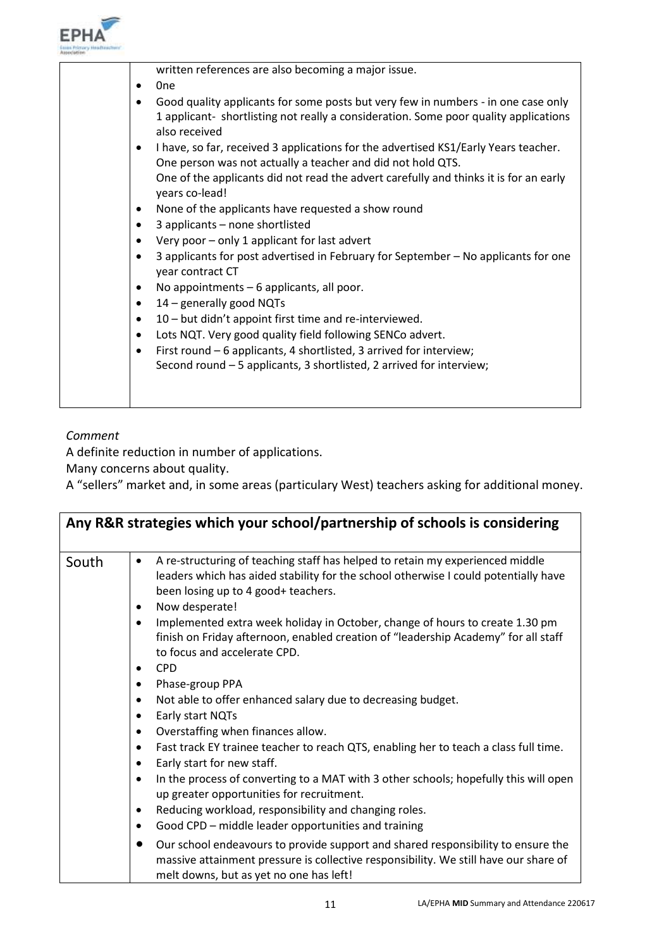

| written references are also becoming a major issue.                                                                                                |
|----------------------------------------------------------------------------------------------------------------------------------------------------|
| 0 <sub>ne</sub>                                                                                                                                    |
| Good quality applicants for some posts but very few in numbers - in one case only                                                                  |
| 1 applicant- shortlisting not really a consideration. Some poor quality applications<br>also received                                              |
| I have, so far, received 3 applications for the advertised KS1/Early Years teacher.<br>One person was not actually a teacher and did not hold QTS. |
|                                                                                                                                                    |
| One of the applicants did not read the advert carefully and thinks it is for an early<br>years co-lead!                                            |
| None of the applicants have requested a show round<br>٠                                                                                            |
| 3 applicants - none shortlisted                                                                                                                    |
| Very poor - only 1 applicant for last advert                                                                                                       |
| 3 applicants for post advertised in February for September - No applicants for one<br>year contract CT                                             |
| No appointments - 6 applicants, all poor.                                                                                                          |
| 14 - generally good NQTs<br>٠                                                                                                                      |
| 10 - but didn't appoint first time and re-interviewed.<br>٠                                                                                        |
| Lots NQT. Very good quality field following SENCo advert.<br>٠                                                                                     |
| First round - 6 applicants, 4 shortlisted, 3 arrived for interview;<br>٠                                                                           |
| Second round - 5 applicants, 3 shortlisted, 2 arrived for interview;                                                                               |
|                                                                                                                                                    |
|                                                                                                                                                    |

## *Comment*

A definite reduction in number of applications.

Many concerns about quality.

A "sellers" market and, in some areas (particulary West) teachers asking for additional money.

| Any R&R strategies which your school/partnership of schools is considering |                                                                                                                                                                                                                                            |  |
|----------------------------------------------------------------------------|--------------------------------------------------------------------------------------------------------------------------------------------------------------------------------------------------------------------------------------------|--|
| South                                                                      | A re-structuring of teaching staff has helped to retain my experienced middle<br>$\bullet$<br>leaders which has aided stability for the school otherwise I could potentially have<br>been losing up to 4 good+ teachers.<br>Now desperate! |  |
|                                                                            | Implemented extra week holiday in October, change of hours to create 1.30 pm<br>$\bullet$<br>finish on Friday afternoon, enabled creation of "leadership Academy" for all staff<br>to focus and accelerate CPD.                            |  |
|                                                                            | <b>CPD</b><br>٠<br>Phase-group PPA<br>٠                                                                                                                                                                                                    |  |
|                                                                            | Not able to offer enhanced salary due to decreasing budget.<br>٠<br>Early start NQTs<br>Overstaffing when finances allow.<br>٠                                                                                                             |  |
|                                                                            | Fast track EY trainee teacher to reach QTS, enabling her to teach a class full time.<br>٠<br>Early start for new staff.<br>$\bullet$                                                                                                       |  |
|                                                                            | In the process of converting to a MAT with 3 other schools; hopefully this will open<br>$\bullet$<br>up greater opportunities for recruitment.                                                                                             |  |
|                                                                            | Reducing workload, responsibility and changing roles.                                                                                                                                                                                      |  |
|                                                                            | Good CPD – middle leader opportunities and training<br>٠                                                                                                                                                                                   |  |
|                                                                            | Our school endeavours to provide support and shared responsibility to ensure the<br>$\bullet$<br>massive attainment pressure is collective responsibility. We still have our share of<br>melt downs, but as yet no one has left!           |  |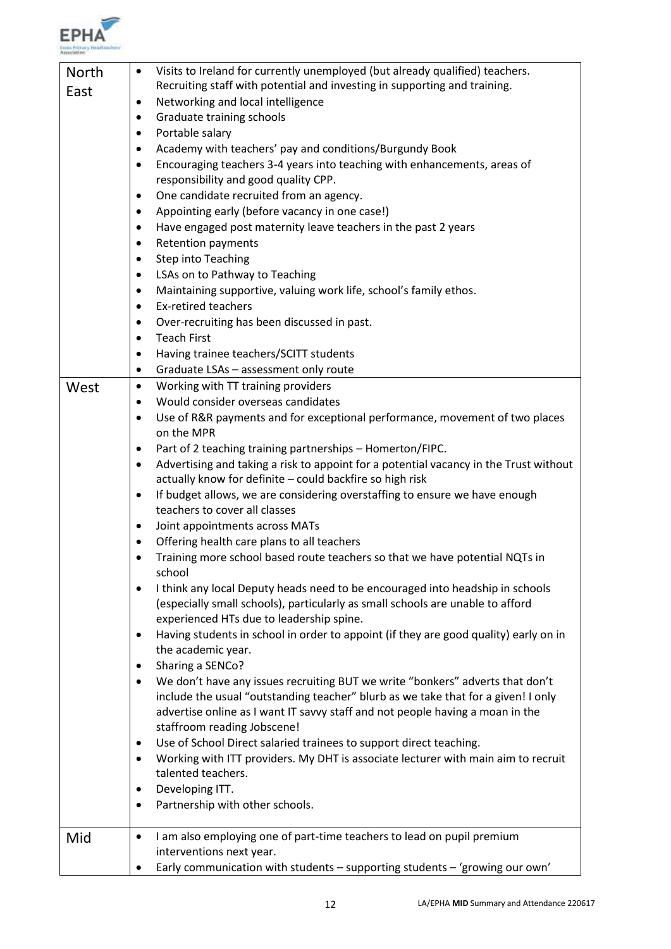

| <b>North</b> | Visits to Ireland for currently unemployed (but already qualified) teachers.<br>٠              |
|--------------|------------------------------------------------------------------------------------------------|
| East         | Recruiting staff with potential and investing in supporting and training.                      |
|              | Networking and local intelligence<br>٠                                                         |
|              | Graduate training schools<br>$\bullet$                                                         |
|              | Portable salary<br>٠                                                                           |
|              | Academy with teachers' pay and conditions/Burgundy Book<br>٠                                   |
|              | Encouraging teachers 3-4 years into teaching with enhancements, areas of<br>٠                  |
|              | responsibility and good quality CPP.                                                           |
|              | One candidate recruited from an agency.<br>٠                                                   |
|              | Appointing early (before vacancy in one case!)<br>٠                                            |
|              | Have engaged post maternity leave teachers in the past 2 years<br>٠                            |
|              | <b>Retention payments</b>                                                                      |
|              | <b>Step into Teaching</b>                                                                      |
|              |                                                                                                |
|              | LSAs on to Pathway to Teaching<br>٠                                                            |
|              | Maintaining supportive, valuing work life, school's family ethos.<br>٠                         |
|              | <b>Ex-retired teachers</b><br>٠                                                                |
|              | Over-recruiting has been discussed in past.<br>٠                                               |
|              | <b>Teach First</b><br>$\bullet$                                                                |
|              | Having trainee teachers/SCITT students<br>٠                                                    |
|              | Graduate LSAs - assessment only route<br>٠                                                     |
| West         | Working with TT training providers<br>$\bullet$                                                |
|              | Would consider overseas candidates<br>$\bullet$                                                |
|              | Use of R&R payments and for exceptional performance, movement of two places<br>٠               |
|              | on the MPR                                                                                     |
|              | Part of 2 teaching training partnerships - Homerton/FIPC.<br>٠                                 |
|              | Advertising and taking a risk to appoint for a potential vacancy in the Trust without<br>٠     |
|              | actually know for definite - could backfire so high risk                                       |
|              | If budget allows, we are considering overstaffing to ensure we have enough<br>٠                |
|              | teachers to cover all classes                                                                  |
|              | Joint appointments across MATs<br>٠                                                            |
|              | Offering health care plans to all teachers<br>٠                                                |
|              | Training more school based route teachers so that we have potential NQTs in                    |
|              | school                                                                                         |
|              | I think any local Deputy heads need to be encouraged into headship in schools<br>٠             |
|              | (especially small schools), particularly as small schools are unable to afford                 |
|              | experienced HTs due to leadership spine.                                                       |
|              | Having students in school in order to appoint (if they are good quality) early on in<br>٠      |
|              | the academic year.                                                                             |
|              | Sharing a SENCo?                                                                               |
|              | We don't have any issues recruiting BUT we write "bonkers" adverts that don't                  |
|              | include the usual "outstanding teacher" blurb as we take that for a given! I only              |
|              | advertise online as I want IT savvy staff and not people having a moan in the                  |
|              | staffroom reading Jobscene!                                                                    |
|              | Use of School Direct salaried trainees to support direct teaching.<br>٠                        |
|              | Working with ITT providers. My DHT is associate lecturer with main aim to recruit<br>$\bullet$ |
|              | talented teachers.                                                                             |
|              | Developing ITT.<br>٠                                                                           |
|              | Partnership with other schools.<br>٠                                                           |
| Mid          | I am also employing one of part-time teachers to lead on pupil premium<br>٠                    |
|              | interventions next year.                                                                       |
|              | Early communication with students - supporting students - 'growing our own'<br>$\bullet$       |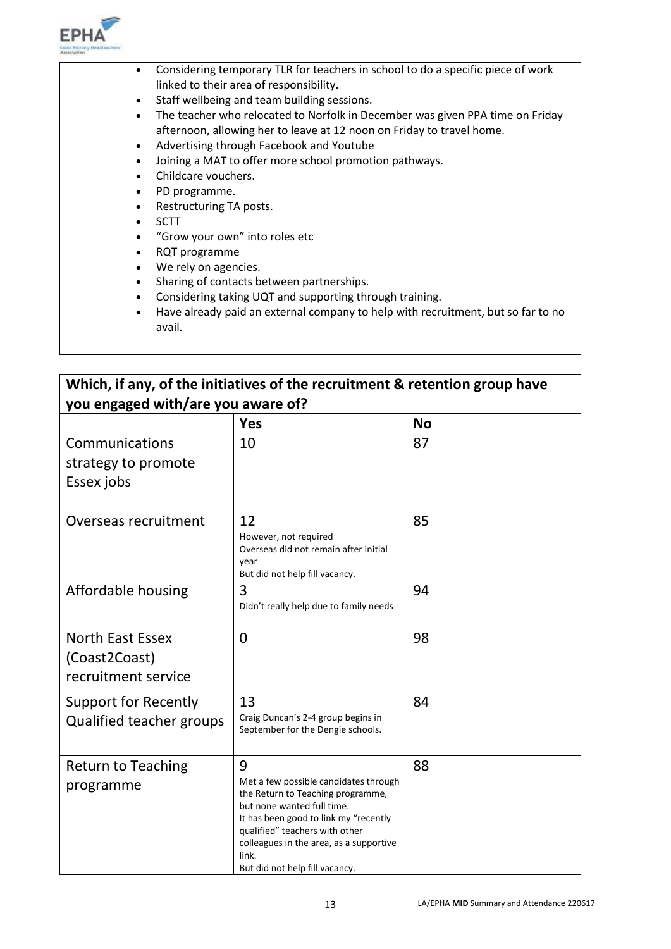

|  | Considering temporary TLR for teachers in school to do a specific piece of work<br>٠<br>linked to their area of responsibility. |
|--|---------------------------------------------------------------------------------------------------------------------------------|
|  |                                                                                                                                 |
|  | Staff wellbeing and team building sessions.<br>$\bullet$                                                                        |
|  | The teacher who relocated to Norfolk in December was given PPA time on Friday<br>$\bullet$                                      |
|  | afternoon, allowing her to leave at 12 noon on Friday to travel home.                                                           |
|  | Advertising through Facebook and Youtube<br>$\bullet$                                                                           |
|  | Joining a MAT to offer more school promotion pathways.<br>$\bullet$                                                             |
|  | Childcare vouchers.<br>$\bullet$                                                                                                |
|  | PD programme.<br>٠                                                                                                              |
|  | Restructuring TA posts.<br>$\bullet$                                                                                            |
|  | <b>SCTT</b><br>$\bullet$                                                                                                        |
|  | "Grow your own" into roles etc<br>$\bullet$                                                                                     |
|  | RQT programme<br>$\bullet$                                                                                                      |
|  | We rely on agencies.<br>$\bullet$                                                                                               |
|  | Sharing of contacts between partnerships.<br>$\bullet$                                                                          |
|  | Considering taking UQT and supporting through training.<br>$\bullet$                                                            |
|  | Have already paid an external company to help with recruitment, but so far to no<br>٠                                           |
|  | avail.                                                                                                                          |
|  |                                                                                                                                 |
|  |                                                                                                                                 |

# **Which, if any, of the initiatives of the recruitment & retention group have you engaged with/are you aware of?**

|                                                                 | <b>Yes</b>                                                                                                                                                                                                                                                                     | <b>No</b> |
|-----------------------------------------------------------------|--------------------------------------------------------------------------------------------------------------------------------------------------------------------------------------------------------------------------------------------------------------------------------|-----------|
| Communications<br>strategy to promote<br>Essex jobs             | 10                                                                                                                                                                                                                                                                             | 87        |
| Overseas recruitment                                            | 12<br>However, not required<br>Overseas did not remain after initial<br>vear<br>But did not help fill vacancy.                                                                                                                                                                 | 85        |
| Affordable housing                                              | 3<br>Didn't really help due to family needs                                                                                                                                                                                                                                    | 94        |
| <b>North East Essex</b><br>(Coast2Coast)<br>recruitment service | 0                                                                                                                                                                                                                                                                              | 98        |
| <b>Support for Recently</b><br><b>Qualified teacher groups</b>  | 13<br>Craig Duncan's 2-4 group begins in<br>September for the Dengie schools.                                                                                                                                                                                                  | 84        |
| <b>Return to Teaching</b><br>programme                          | 9<br>Met a few possible candidates through<br>the Return to Teaching programme,<br>but none wanted full time.<br>It has been good to link my "recently<br>qualified" teachers with other<br>colleagues in the area, as a supportive<br>link.<br>But did not help fill vacancy. | 88        |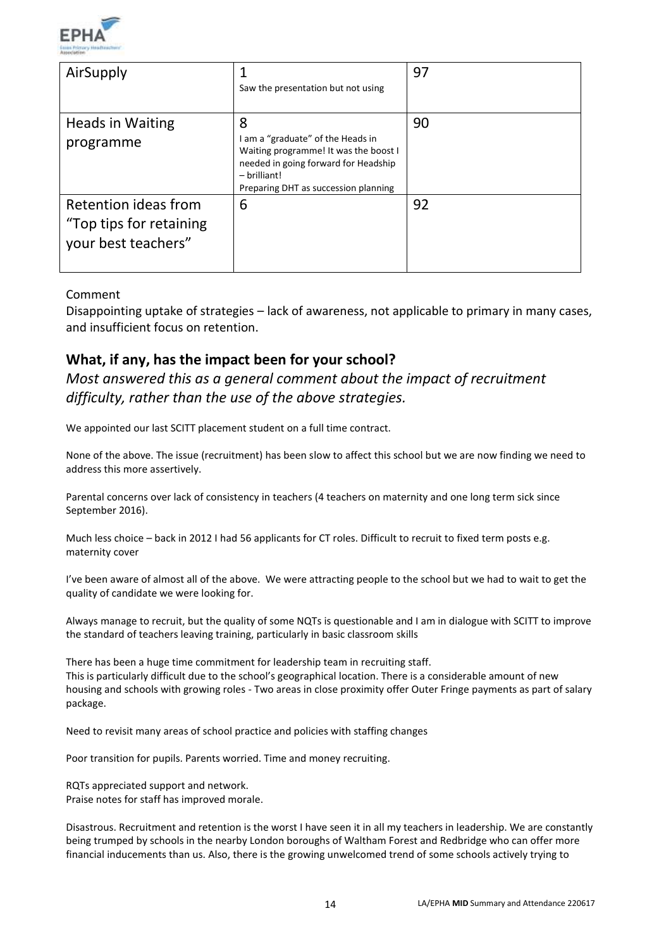

| AirSupply                                                              | Saw the presentation but not using                                                                                                                                              | 97 |
|------------------------------------------------------------------------|---------------------------------------------------------------------------------------------------------------------------------------------------------------------------------|----|
| <b>Heads in Waiting</b><br>programme                                   | 8<br>I am a "graduate" of the Heads in<br>Waiting programme! It was the boost I<br>needed in going forward for Headship<br>- brilliant!<br>Preparing DHT as succession planning | 90 |
| Retention ideas from<br>"Top tips for retaining<br>your best teachers" | 6                                                                                                                                                                               | 92 |

### Comment

Disappointing uptake of strategies – lack of awareness, not applicable to primary in many cases, and insufficient focus on retention.

# **What, if any, has the impact been for your school?**

*Most answered this as a general comment about the impact of recruitment difficulty, rather than the use of the above strategies.*

We appointed our last SCITT placement student on a full time contract.

None of the above. The issue (recruitment) has been slow to affect this school but we are now finding we need to address this more assertively.

Parental concerns over lack of consistency in teachers (4 teachers on maternity and one long term sick since September 2016).

Much less choice – back in 2012 I had 56 applicants for CT roles. Difficult to recruit to fixed term posts e.g. maternity cover

I've been aware of almost all of the above. We were attracting people to the school but we had to wait to get the quality of candidate we were looking for.

Always manage to recruit, but the quality of some NQTs is questionable and I am in dialogue with SCITT to improve the standard of teachers leaving training, particularly in basic classroom skills

There has been a huge time commitment for leadership team in recruiting staff. This is particularly difficult due to the school's geographical location. There is a considerable amount of new housing and schools with growing roles - Two areas in close proximity offer Outer Fringe payments as part of salary package.

Need to revisit many areas of school practice and policies with staffing changes

Poor transition for pupils. Parents worried. Time and money recruiting.

RQTs appreciated support and network. Praise notes for staff has improved morale.

Disastrous. Recruitment and retention is the worst I have seen it in all my teachers in leadership. We are constantly being trumped by schools in the nearby London boroughs of Waltham Forest and Redbridge who can offer more financial inducements than us. Also, there is the growing unwelcomed trend of some schools actively trying to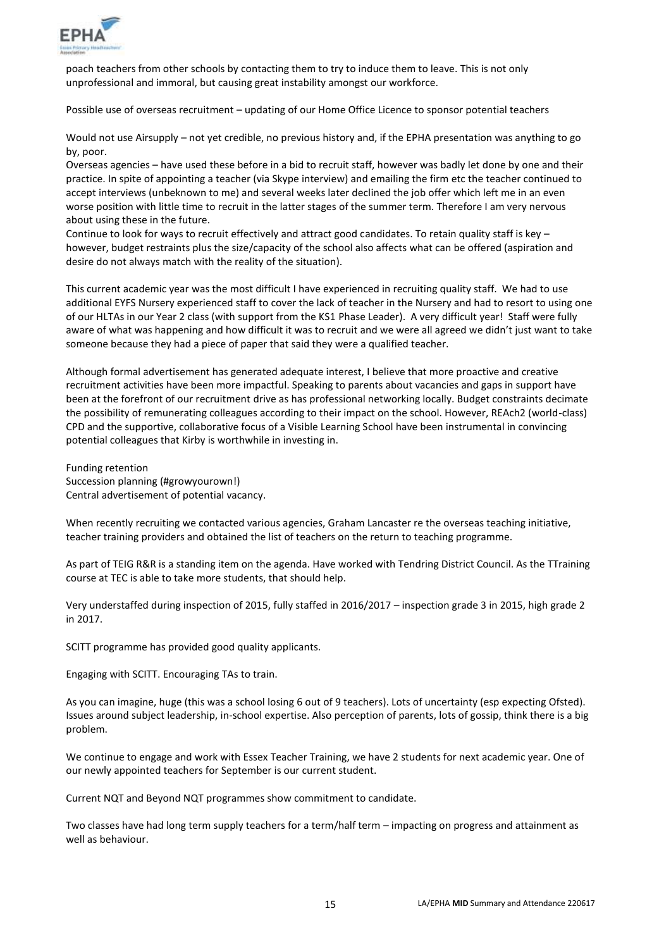

poach teachers from other schools by contacting them to try to induce them to leave. This is not only unprofessional and immoral, but causing great instability amongst our workforce.

Possible use of overseas recruitment – updating of our Home Office Licence to sponsor potential teachers

Would not use Airsupply – not yet credible, no previous history and, if the EPHA presentation was anything to go by, poor.

Overseas agencies – have used these before in a bid to recruit staff, however was badly let done by one and their practice. In spite of appointing a teacher (via Skype interview) and emailing the firm etc the teacher continued to accept interviews (unbeknown to me) and several weeks later declined the job offer which left me in an even worse position with little time to recruit in the latter stages of the summer term. Therefore I am very nervous about using these in the future.

Continue to look for ways to recruit effectively and attract good candidates. To retain quality staff is key – however, budget restraints plus the size/capacity of the school also affects what can be offered (aspiration and desire do not always match with the reality of the situation).

This current academic year was the most difficult I have experienced in recruiting quality staff. We had to use additional EYFS Nursery experienced staff to cover the lack of teacher in the Nursery and had to resort to using one of our HLTAs in our Year 2 class (with support from the KS1 Phase Leader). A very difficult year! Staff were fully aware of what was happening and how difficult it was to recruit and we were all agreed we didn't just want to take someone because they had a piece of paper that said they were a qualified teacher.

Although formal advertisement has generated adequate interest, I believe that more proactive and creative recruitment activities have been more impactful. Speaking to parents about vacancies and gaps in support have been at the forefront of our recruitment drive as has professional networking locally. Budget constraints decimate the possibility of remunerating colleagues according to their impact on the school. However, REAch2 (world-class) CPD and the supportive, collaborative focus of a Visible Learning School have been instrumental in convincing potential colleagues that Kirby is worthwhile in investing in.

Funding retention Succession planning (#growyourown!) Central advertisement of potential vacancy.

When recently recruiting we contacted various agencies, Graham Lancaster re the overseas teaching initiative, teacher training providers and obtained the list of teachers on the return to teaching programme.

As part of TEIG R&R is a standing item on the agenda. Have worked with Tendring District Council. As the TTraining course at TEC is able to take more students, that should help.

Very understaffed during inspection of 2015, fully staffed in 2016/2017 – inspection grade 3 in 2015, high grade 2 in 2017.

SCITT programme has provided good quality applicants.

Engaging with SCITT. Encouraging TAs to train.

As you can imagine, huge (this was a school losing 6 out of 9 teachers). Lots of uncertainty (esp expecting Ofsted). Issues around subject leadership, in-school expertise. Also perception of parents, lots of gossip, think there is a big problem.

We continue to engage and work with Essex Teacher Training, we have 2 students for next academic year. One of our newly appointed teachers for September is our current student.

Current NQT and Beyond NQT programmes show commitment to candidate.

Two classes have had long term supply teachers for a term/half term – impacting on progress and attainment as well as behaviour.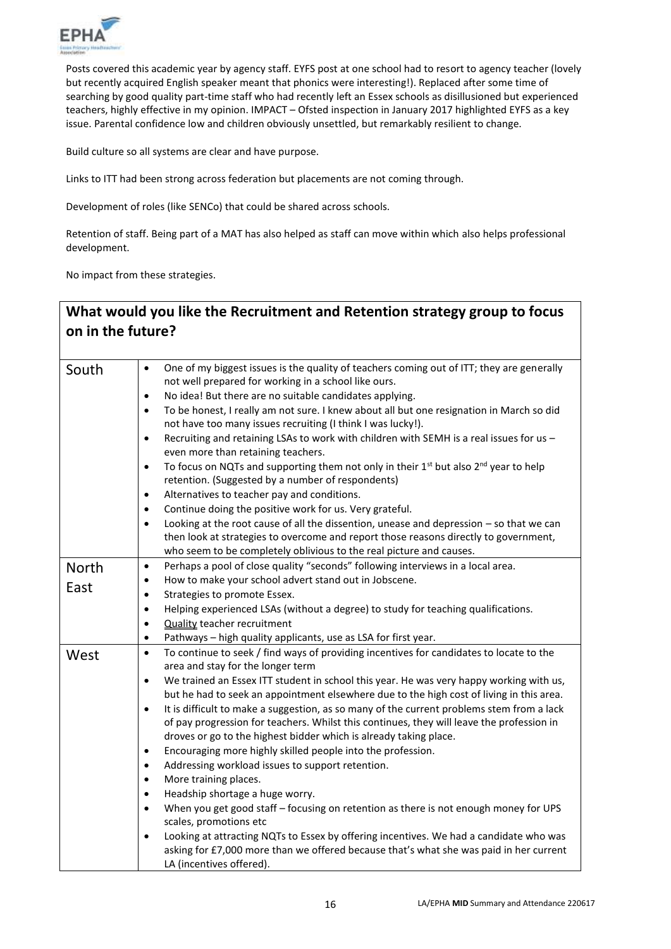

Posts covered this academic year by agency staff. EYFS post at one school had to resort to agency teacher (lovely but recently acquired English speaker meant that phonics were interesting!). Replaced after some time of searching by good quality part-time staff who had recently left an Essex schools as disillusioned but experienced teachers, highly effective in my opinion. IMPACT – Ofsted inspection in January 2017 highlighted EYFS as a key issue. Parental confidence low and children obviously unsettled, but remarkably resilient to change.

Build culture so all systems are clear and have purpose.

Links to ITT had been strong across federation but placements are not coming through.

Development of roles (like SENCo) that could be shared across schools.

Retention of staff. Being part of a MAT has also helped as staff can move within which also helps professional development.

No impact from these strategies.

# **What would you like the Recruitment and Retention strategy group to focus on in the future?**

| South | One of my biggest issues is the quality of teachers coming out of ITT; they are generally<br>$\bullet$<br>not well prepared for working in a school like ours.<br>No idea! But there are no suitable candidates applying.<br>$\bullet$<br>To be honest, I really am not sure. I knew about all but one resignation in March so did<br>$\bullet$<br>not have too many issues recruiting (I think I was lucky!).<br>Recruiting and retaining LSAs to work with children with SEMH is a real issues for us -<br>$\bullet$<br>even more than retaining teachers.<br>To focus on NQTs and supporting them not only in their 1 <sup>st</sup> but also 2 <sup>nd</sup> year to help<br>$\bullet$<br>retention. (Suggested by a number of respondents)<br>Alternatives to teacher pay and conditions.<br>$\bullet$<br>Continue doing the positive work for us. Very grateful.<br>$\bullet$<br>Looking at the root cause of all the dissention, unease and depression - so that we can<br>$\bullet$<br>then look at strategies to overcome and report those reasons directly to government,<br>who seem to be completely oblivious to the real picture and causes. |
|-------|-----------------------------------------------------------------------------------------------------------------------------------------------------------------------------------------------------------------------------------------------------------------------------------------------------------------------------------------------------------------------------------------------------------------------------------------------------------------------------------------------------------------------------------------------------------------------------------------------------------------------------------------------------------------------------------------------------------------------------------------------------------------------------------------------------------------------------------------------------------------------------------------------------------------------------------------------------------------------------------------------------------------------------------------------------------------------------------------------------------------------------------------------------------|
|       | Perhaps a pool of close quality "seconds" following interviews in a local area.<br>$\bullet$                                                                                                                                                                                                                                                                                                                                                                                                                                                                                                                                                                                                                                                                                                                                                                                                                                                                                                                                                                                                                                                              |
| North | How to make your school advert stand out in Jobscene.<br>$\bullet$                                                                                                                                                                                                                                                                                                                                                                                                                                                                                                                                                                                                                                                                                                                                                                                                                                                                                                                                                                                                                                                                                        |
| East  |                                                                                                                                                                                                                                                                                                                                                                                                                                                                                                                                                                                                                                                                                                                                                                                                                                                                                                                                                                                                                                                                                                                                                           |
|       | Strategies to promote Essex.<br>٠                                                                                                                                                                                                                                                                                                                                                                                                                                                                                                                                                                                                                                                                                                                                                                                                                                                                                                                                                                                                                                                                                                                         |
|       | Helping experienced LSAs (without a degree) to study for teaching qualifications.<br>$\bullet$                                                                                                                                                                                                                                                                                                                                                                                                                                                                                                                                                                                                                                                                                                                                                                                                                                                                                                                                                                                                                                                            |
|       | <b>Quality teacher recruitment</b><br>$\bullet$                                                                                                                                                                                                                                                                                                                                                                                                                                                                                                                                                                                                                                                                                                                                                                                                                                                                                                                                                                                                                                                                                                           |
|       | Pathways - high quality applicants, use as LSA for first year.<br>$\bullet$                                                                                                                                                                                                                                                                                                                                                                                                                                                                                                                                                                                                                                                                                                                                                                                                                                                                                                                                                                                                                                                                               |
| West  | To continue to seek / find ways of providing incentives for candidates to locate to the<br>$\bullet$                                                                                                                                                                                                                                                                                                                                                                                                                                                                                                                                                                                                                                                                                                                                                                                                                                                                                                                                                                                                                                                      |
|       | area and stay for the longer term                                                                                                                                                                                                                                                                                                                                                                                                                                                                                                                                                                                                                                                                                                                                                                                                                                                                                                                                                                                                                                                                                                                         |
|       | We trained an Essex ITT student in school this year. He was very happy working with us,<br>$\bullet$                                                                                                                                                                                                                                                                                                                                                                                                                                                                                                                                                                                                                                                                                                                                                                                                                                                                                                                                                                                                                                                      |
|       | but he had to seek an appointment elsewhere due to the high cost of living in this area.                                                                                                                                                                                                                                                                                                                                                                                                                                                                                                                                                                                                                                                                                                                                                                                                                                                                                                                                                                                                                                                                  |
|       | It is difficult to make a suggestion, as so many of the current problems stem from a lack<br>$\bullet$<br>of pay progression for teachers. Whilst this continues, they will leave the profession in                                                                                                                                                                                                                                                                                                                                                                                                                                                                                                                                                                                                                                                                                                                                                                                                                                                                                                                                                       |
|       | droves or go to the highest bidder which is already taking place.                                                                                                                                                                                                                                                                                                                                                                                                                                                                                                                                                                                                                                                                                                                                                                                                                                                                                                                                                                                                                                                                                         |
|       | Encouraging more highly skilled people into the profession.<br>$\bullet$                                                                                                                                                                                                                                                                                                                                                                                                                                                                                                                                                                                                                                                                                                                                                                                                                                                                                                                                                                                                                                                                                  |
|       | Addressing workload issues to support retention.<br>$\bullet$                                                                                                                                                                                                                                                                                                                                                                                                                                                                                                                                                                                                                                                                                                                                                                                                                                                                                                                                                                                                                                                                                             |
|       | More training places.<br>$\bullet$                                                                                                                                                                                                                                                                                                                                                                                                                                                                                                                                                                                                                                                                                                                                                                                                                                                                                                                                                                                                                                                                                                                        |
|       | Headship shortage a huge worry.<br>$\bullet$                                                                                                                                                                                                                                                                                                                                                                                                                                                                                                                                                                                                                                                                                                                                                                                                                                                                                                                                                                                                                                                                                                              |
|       | When you get good staff - focusing on retention as there is not enough money for UPS<br>$\bullet$                                                                                                                                                                                                                                                                                                                                                                                                                                                                                                                                                                                                                                                                                                                                                                                                                                                                                                                                                                                                                                                         |
|       | scales, promotions etc                                                                                                                                                                                                                                                                                                                                                                                                                                                                                                                                                                                                                                                                                                                                                                                                                                                                                                                                                                                                                                                                                                                                    |
|       | Looking at attracting NQTs to Essex by offering incentives. We had a candidate who was<br>$\bullet$                                                                                                                                                                                                                                                                                                                                                                                                                                                                                                                                                                                                                                                                                                                                                                                                                                                                                                                                                                                                                                                       |
|       | asking for £7,000 more than we offered because that's what she was paid in her current<br>LA (incentives offered).                                                                                                                                                                                                                                                                                                                                                                                                                                                                                                                                                                                                                                                                                                                                                                                                                                                                                                                                                                                                                                        |